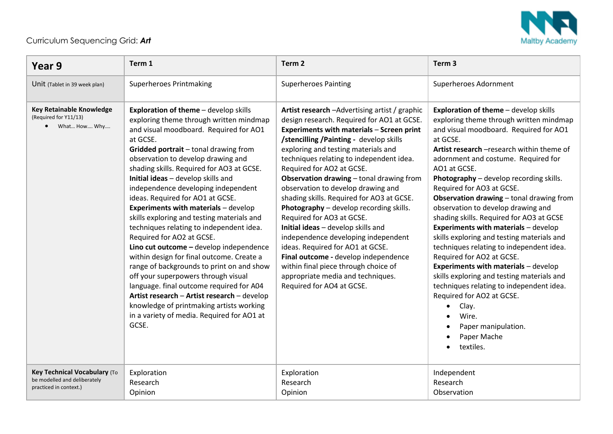

## Curriculum Sequencing Grid: *Art*

| Year 9                                                                                 | Term 1                                                                                                                                                                                                                                                                                                                                                                                                                                                                                                                                                                                                                                                                                                                                                                                                                                                                                                                                     | Term <sub>2</sub>                                                                                                                                                                                                                                                                                                                                                                                                                                                                                                                                                                                                                                                                                                                                                                     | Term <sub>3</sub>                                                                                                                                                                                                                                                                                                                                                                                                                                                                                                                                                                                                                                                                                                                                                                                                                                                                      |
|----------------------------------------------------------------------------------------|--------------------------------------------------------------------------------------------------------------------------------------------------------------------------------------------------------------------------------------------------------------------------------------------------------------------------------------------------------------------------------------------------------------------------------------------------------------------------------------------------------------------------------------------------------------------------------------------------------------------------------------------------------------------------------------------------------------------------------------------------------------------------------------------------------------------------------------------------------------------------------------------------------------------------------------------|---------------------------------------------------------------------------------------------------------------------------------------------------------------------------------------------------------------------------------------------------------------------------------------------------------------------------------------------------------------------------------------------------------------------------------------------------------------------------------------------------------------------------------------------------------------------------------------------------------------------------------------------------------------------------------------------------------------------------------------------------------------------------------------|----------------------------------------------------------------------------------------------------------------------------------------------------------------------------------------------------------------------------------------------------------------------------------------------------------------------------------------------------------------------------------------------------------------------------------------------------------------------------------------------------------------------------------------------------------------------------------------------------------------------------------------------------------------------------------------------------------------------------------------------------------------------------------------------------------------------------------------------------------------------------------------|
| Unit (Tablet in 39 week plan)                                                          | <b>Superheroes Printmaking</b>                                                                                                                                                                                                                                                                                                                                                                                                                                                                                                                                                                                                                                                                                                                                                                                                                                                                                                             | <b>Superheroes Painting</b>                                                                                                                                                                                                                                                                                                                                                                                                                                                                                                                                                                                                                                                                                                                                                           | Superheroes Adornment                                                                                                                                                                                                                                                                                                                                                                                                                                                                                                                                                                                                                                                                                                                                                                                                                                                                  |
| <b>Key Retainable Knowledge</b><br>(Required for Y11/13)<br>What How Why               | <b>Exploration of theme</b> - develop skills<br>exploring theme through written mindmap<br>and visual moodboard. Required for AO1<br>at GCSE.<br>Gridded portrait - tonal drawing from<br>observation to develop drawing and<br>shading skills. Required for AO3 at GCSE.<br>Initial ideas - develop skills and<br>independence developing independent<br>ideas. Required for AO1 at GCSE.<br><b>Experiments with materials - develop</b><br>skills exploring and testing materials and<br>techniques relating to independent idea.<br>Required for AO2 at GCSE.<br>Lino cut outcome - develop independence<br>within design for final outcome. Create a<br>range of backgrounds to print on and show<br>off your superpowers through visual<br>language. final outcome required for A04<br>Artist research - Artist research - develop<br>knowledge of printmaking artists working<br>in a variety of media. Required for AO1 at<br>GCSE. | Artist research - Advertising artist / graphic<br>design research. Required for AO1 at GCSE.<br><b>Experiments with materials - Screen print</b><br>/stencilling /Painting - develop skills<br>exploring and testing materials and<br>techniques relating to independent idea.<br>Required for AO2 at GCSE.<br>Observation drawing - tonal drawing from<br>observation to develop drawing and<br>shading skills. Required for AO3 at GCSE.<br>Photography - develop recording skills.<br>Required for AO3 at GCSE.<br>Initial ideas - develop skills and<br>independence developing independent<br>ideas. Required for AO1 at GCSE.<br>Final outcome - develop independence<br>within final piece through choice of<br>appropriate media and techniques.<br>Required for AO4 at GCSE. | <b>Exploration of theme - develop skills</b><br>exploring theme through written mindmap<br>and visual moodboard. Required for AO1<br>at GCSE.<br>Artist research - research within theme of<br>adornment and costume. Required for<br>AO1 at GCSE.<br>Photography - develop recording skills.<br>Required for AO3 at GCSE.<br>Observation drawing - tonal drawing from<br>observation to develop drawing and<br>shading skills. Required for AO3 at GCSE<br><b>Experiments with materials - develop</b><br>skills exploring and testing materials and<br>techniques relating to independent idea.<br>Required for AO2 at GCSE.<br><b>Experiments with materials - develop</b><br>skills exploring and testing materials and<br>techniques relating to independent idea.<br>Required for AO2 at GCSE.<br>Clay.<br>Wire.<br>Paper manipulation.<br>Paper Mache<br>textiles.<br>$\bullet$ |
| Key Technical Vocabulary (To<br>be modelled and deliberately<br>practiced in context.) | Exploration<br>Research<br>Opinion                                                                                                                                                                                                                                                                                                                                                                                                                                                                                                                                                                                                                                                                                                                                                                                                                                                                                                         | Exploration<br>Research<br>Opinion                                                                                                                                                                                                                                                                                                                                                                                                                                                                                                                                                                                                                                                                                                                                                    | Independent<br>Research<br>Observation                                                                                                                                                                                                                                                                                                                                                                                                                                                                                                                                                                                                                                                                                                                                                                                                                                                 |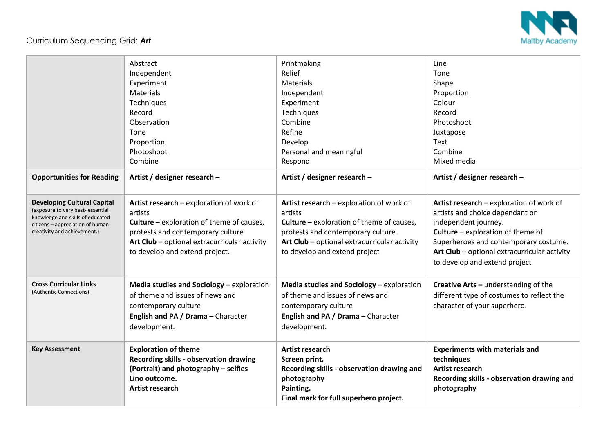

## Curriculum Sequencing Grid: *Art*

|                                                                                                                                                                                | Abstract<br>Independent<br>Experiment<br><b>Materials</b><br>Techniques<br>Record<br>Observation<br>Tone<br>Proportion<br>Photoshoot<br>Combine                                                                                | Printmaking<br>Relief<br><b>Materials</b><br>Independent<br>Experiment<br>Techniques<br>Combine<br>Refine<br>Develop<br>Personal and meaningful<br>Respond                                                                     | Line<br>Tone<br>Shape<br>Proportion<br>Colour<br>Record<br>Photoshoot<br>Juxtapose<br>Text<br>Combine<br>Mixed media                                                                                                                                               |
|--------------------------------------------------------------------------------------------------------------------------------------------------------------------------------|--------------------------------------------------------------------------------------------------------------------------------------------------------------------------------------------------------------------------------|--------------------------------------------------------------------------------------------------------------------------------------------------------------------------------------------------------------------------------|--------------------------------------------------------------------------------------------------------------------------------------------------------------------------------------------------------------------------------------------------------------------|
| <b>Opportunities for Reading</b>                                                                                                                                               | Artist / designer research -                                                                                                                                                                                                   | Artist / designer research -                                                                                                                                                                                                   | Artist / designer research -                                                                                                                                                                                                                                       |
| <b>Developing Cultural Capital</b><br>(exposure to very best-essential<br>knowledge and skills of educated<br>citizens - appreciation of human<br>creativity and achievement.) | Artist research - exploration of work of<br>artists<br><b>Culture</b> – exploration of theme of causes,<br>protests and contemporary culture<br>Art Club - optional extracurricular activity<br>to develop and extend project. | Artist research - exploration of work of<br>artists<br><b>Culture</b> – exploration of theme of causes,<br>protests and contemporary culture.<br>Art Club - optional extracurricular activity<br>to develop and extend project | Artist research - exploration of work of<br>artists and choice dependant on<br>independent journey.<br>Culture - exploration of theme of<br>Superheroes and contemporary costume.<br>Art Club - optional extracurricular activity<br>to develop and extend project |
| <b>Cross Curricular Links</b><br>(Authentic Connections)                                                                                                                       | Media studies and Sociology - exploration<br>of theme and issues of news and<br>contemporary culture<br>English and PA / Drama - Character<br>development.                                                                     | Media studies and Sociology - exploration<br>of theme and issues of news and<br>contemporary culture<br>English and PA / Drama - Character<br>development.                                                                     | Creative Arts - understanding of the<br>different type of costumes to reflect the<br>character of your superhero.                                                                                                                                                  |
| <b>Key Assessment</b>                                                                                                                                                          | <b>Exploration of theme</b><br>Recording skills - observation drawing<br>(Portrait) and photography - selfies<br>Lino outcome.<br>Artist research                                                                              | <b>Artist research</b><br>Screen print.<br>Recording skills - observation drawing and<br>photography<br>Painting.<br>Final mark for full superhero project.                                                                    | <b>Experiments with materials and</b><br>techniques<br><b>Artist research</b><br>Recording skills - observation drawing and<br>photography                                                                                                                         |